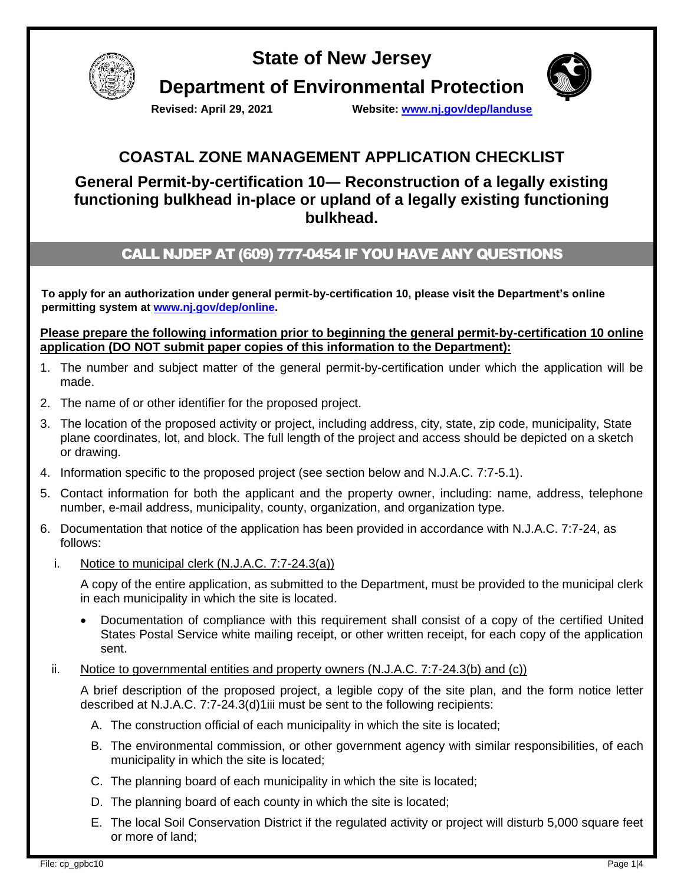

# **State of New Jersey Department of Environmental Protection**



**Revised: April 29, 2021 Website: [www.nj.gov/dep/landuse](http://www.nj.gov/dep/landuse)**

## **COASTAL ZONE MANAGEMENT APPLICATION CHECKLIST**

**General Permit-by-certification 10― Reconstruction of a legally existing functioning bulkhead in-place or upland of a legally existing functioning bulkhead.**

## CALL NJDEP AT (609) 777-0454 IF YOU HAVE ANY QUESTIONS

**To apply for an authorization under general permit-by-certification 10, please visit the Department's online permitting system at [www.nj.gov/dep/online.](http://www.nj.gov/dep/online)**

**Please prepare the following information prior to beginning the general permit-by-certification 10 online application (DO NOT submit paper copies of this information to the Department):**

- 1. The number and subject matter of the general permit-by-certification under which the application will be made.
- 2. The name of or other identifier for the proposed project.
- 3. The location of the proposed activity or project, including address, city, state, zip code, municipality, State plane coordinates, lot, and block. The full length of the project and access should be depicted on a sketch or drawing.
- 4. Information specific to the proposed project (see section below and N.J.A.C. 7:7-5.1).
- 5. Contact information for both the applicant and the property owner, including: name, address, telephone number, e-mail address, municipality, county, organization, and organization type.
- 6. Documentation that notice of the application has been provided in accordance with N.J.A.C. 7:7-24, as follows:
	- i. Notice to municipal clerk (N.J.A.C. 7:7-24.3(a))

A copy of the entire application, as submitted to the Department, must be provided to the municipal clerk in each municipality in which the site is located.

- Documentation of compliance with this requirement shall consist of a copy of the certified United States Postal Service white mailing receipt, or other written receipt, for each copy of the application sent.
- ii. Notice to governmental entities and property owners  $(N.J.A.C. 7:7-24.3(b)$  and  $(c)$ )

A brief description of the proposed project, a legible copy of the site plan, and the form notice letter described at N.J.A.C. 7:7-24.3(d)1iii must be sent to the following recipients:

- A. The construction official of each municipality in which the site is located;
- B. The environmental commission, or other government agency with similar responsibilities, of each municipality in which the site is located;
- C. The planning board of each municipality in which the site is located;
- D. The planning board of each county in which the site is located;
- E. The local Soil Conservation District if the regulated activity or project will disturb 5,000 square feet or more of land;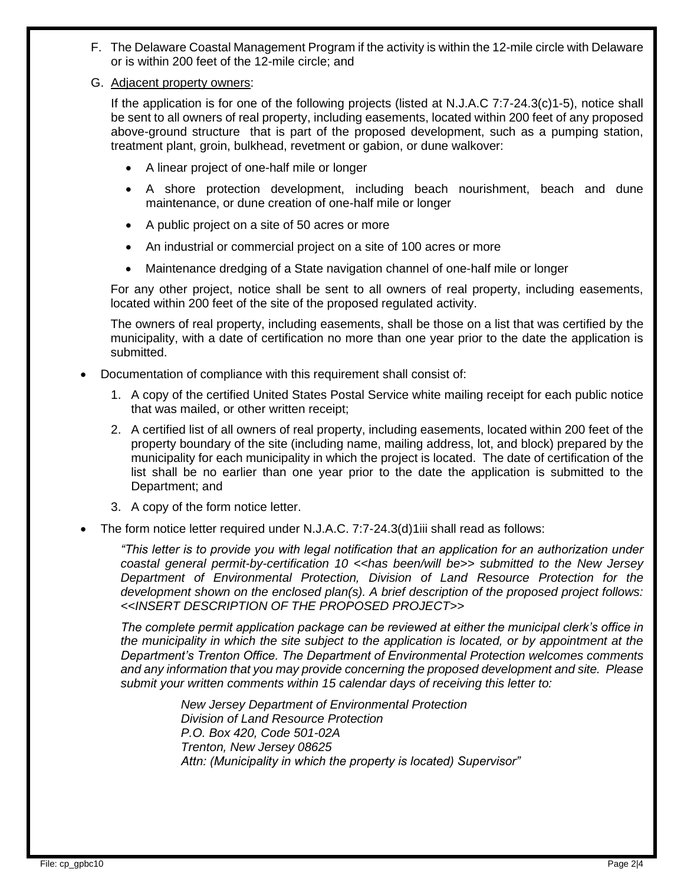- F. The Delaware Coastal Management Program if the activity is within the 12-mile circle with Delaware or is within 200 feet of the 12-mile circle; and
- G. Adjacent property owners:

If the application is for one of the following projects (listed at N.J.A.C 7:7-24.3(c)1-5), notice shall be sent to all owners of real property, including easements, located within 200 feet of any proposed above-ground structure that is part of the proposed development, such as a pumping station, treatment plant, groin, bulkhead, revetment or gabion, or dune walkover:

- A linear project of one-half mile or longer
- A shore protection development, including beach nourishment, beach and dune maintenance, or dune creation of one-half mile or longer
- A public project on a site of 50 acres or more
- An industrial or commercial project on a site of 100 acres or more
- Maintenance dredging of a State navigation channel of one-half mile or longer

For any other project, notice shall be sent to all owners of real property, including easements, located within 200 feet of the site of the proposed regulated activity.

The owners of real property, including easements, shall be those on a list that was certified by the municipality, with a date of certification no more than one year prior to the date the application is submitted.

- Documentation of compliance with this requirement shall consist of:
	- 1. A copy of the certified United States Postal Service white mailing receipt for each public notice that was mailed, or other written receipt;
	- 2. A certified list of all owners of real property, including easements, located within 200 feet of the property boundary of the site (including name, mailing address, lot, and block) prepared by the municipality for each municipality in which the project is located. The date of certification of the list shall be no earlier than one year prior to the date the application is submitted to the Department; and
	- 3. A copy of the form notice letter.
- The form notice letter required under N.J.A.C. 7:7-24.3(d)1iii shall read as follows:

*"This letter is to provide you with legal notification that an application for an authorization under coastal general permit-by-certification 10 <<has been/will be>> submitted to the New Jersey Department of Environmental Protection, Division of Land Resource Protection for the development shown on the enclosed plan(s). A brief description of the proposed project follows: <<INSERT DESCRIPTION OF THE PROPOSED PROJECT>>*

*The complete permit application package can be reviewed at either the municipal clerk's office in the municipality in which the site subject to the application is located, or by appointment at the Department's Trenton Office. The Department of Environmental Protection welcomes comments and any information that you may provide concerning the proposed development and site. Please submit your written comments within 15 calendar days of receiving this letter to:*

> *New Jersey Department of Environmental Protection Division of Land Resource Protection P.O. Box 420, Code 501-02A Trenton, New Jersey 08625 Attn: (Municipality in which the property is located) Supervisor"*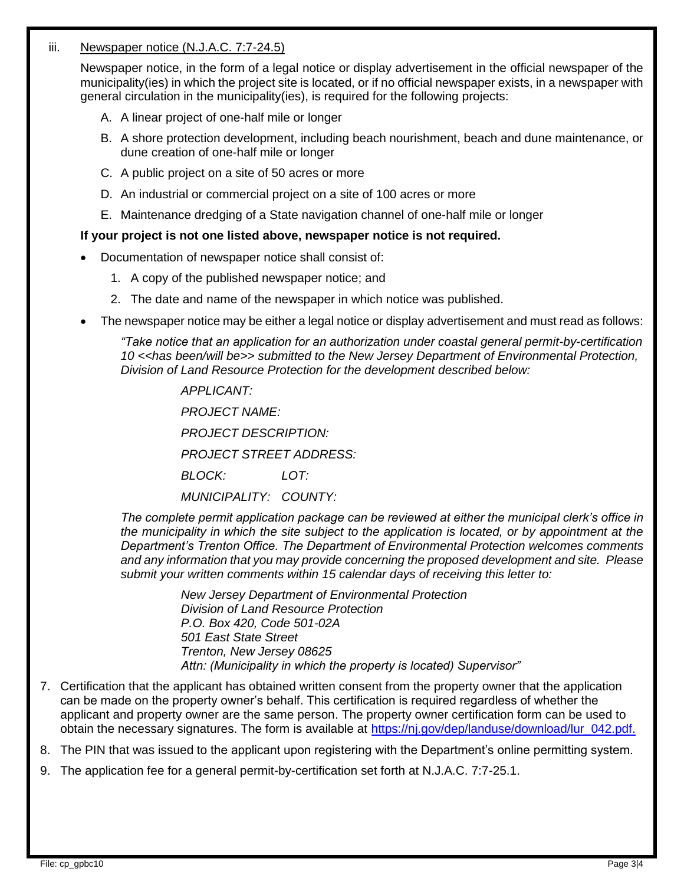### iii. Newspaper notice (N.J.A.C. 7:7-24.5)

Newspaper notice, in the form of a legal notice or display advertisement in the official newspaper of the municipality(ies) in which the project site is located, or if no official newspaper exists, in a newspaper with general circulation in the municipality(ies), is required for the following projects:

- A. A linear project of one-half mile or longer
- B. A shore protection development, including beach nourishment, beach and dune maintenance, or dune creation of one-half mile or longer
- C. A public project on a site of 50 acres or more
- D. An industrial or commercial project on a site of 100 acres or more
- E. Maintenance dredging of a State navigation channel of one-half mile or longer

#### **If your project is not one listed above, newspaper notice is not required.**

- Documentation of newspaper notice shall consist of:
	- 1. A copy of the published newspaper notice; and
	- 2. The date and name of the newspaper in which notice was published.
- The newspaper notice may be either a legal notice or display advertisement and must read as follows:

*"Take notice that an application for an authorization under coastal general permit-by-certification 10 <<has been/will be>> submitted to the New Jersey Department of Environmental Protection, Division of Land Resource Protection for the development described below:*

*APPLICANT:*

*PROJECT NAME:*

*PROJECT DESCRIPTION:*

*PROJECT STREET ADDRESS:*

*BLOCK: LOT:*

*MUNICIPALITY: COUNTY:*

*The complete permit application package can be reviewed at either the municipal clerk's office in the municipality in which the site subject to the application is located, or by appointment at the Department's Trenton Office. The Department of Environmental Protection welcomes comments and any information that you may provide concerning the proposed development and site. Please submit your written comments within 15 calendar days of receiving this letter to:*

> *New Jersey Department of Environmental Protection Division of Land Resource Protection P.O. Box 420, Code 501-02A 501 East State Street Trenton, New Jersey 08625 Attn: (Municipality in which the property is located) Supervisor"*

7. Certification that the applicant has obtained written consent from the property owner that the application can be made on the property owner's behalf. This certification is required regardless of whether the applicant and property owner are the same person. The property owner certification form can be used to obtain the necessary signatures. The form is available at [https://nj.gov/dep/landuse/download/lur\\_042.pdf.](https://nj.gov/dep/landuse/download/lur_042.pdf)

8. The PIN that was issued to the applicant upon registering with the Department's online permitting system.

9. The application fee for a general permit-by-certification set forth at N.J.A.C. 7:7-25.1.